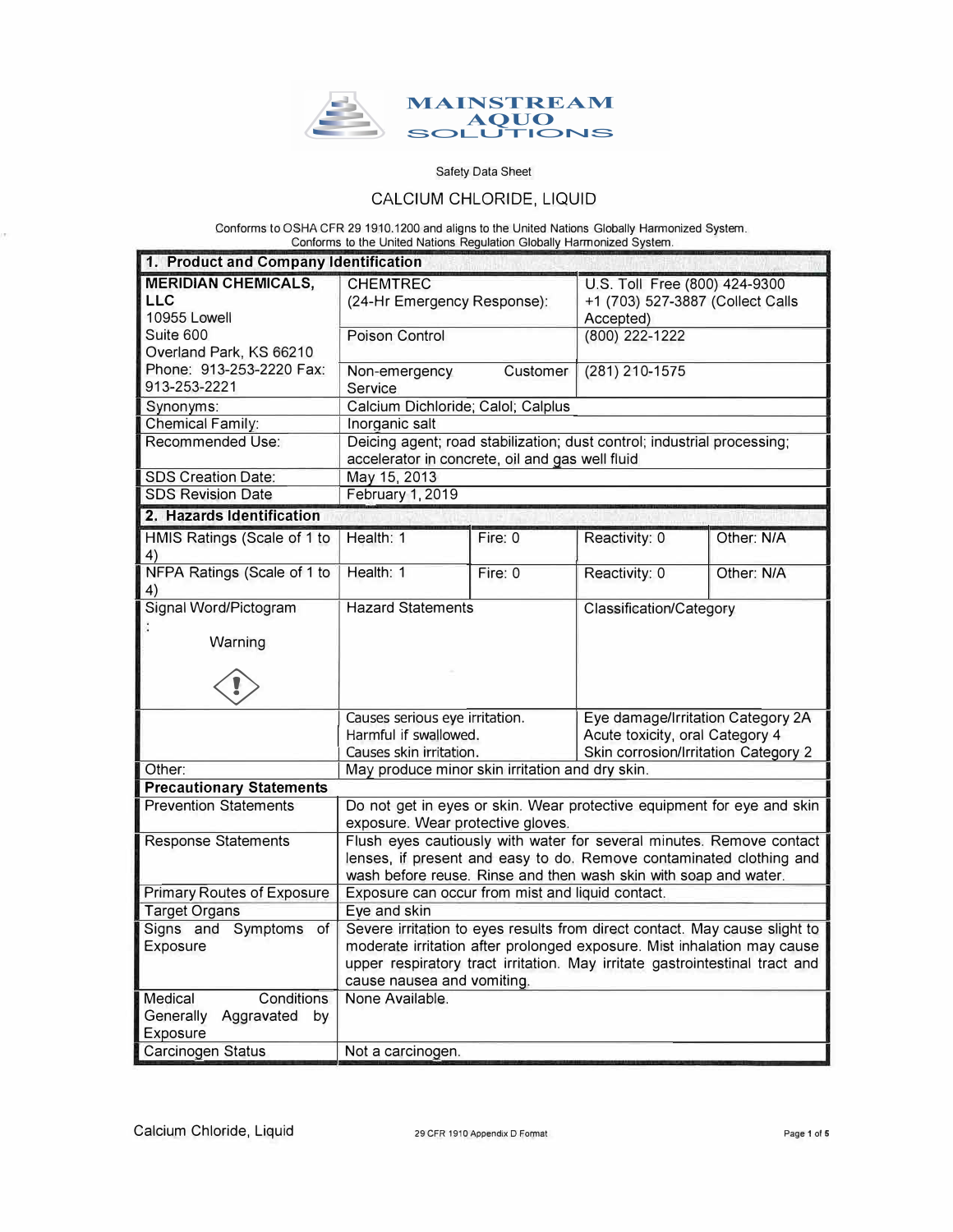

## CALCIUM CHLORIDE, LIQUID

Conforms to OSHA CFR 29 1910.1200 and aligns to the United Nations Globally Hannonized System. Conforms to the United Nations Regulation Globally Harmonized System.

| 1. Product and Company Identification                           |                                                                                                                                                                                                                 |                                                 |                                      |            |  |
|-----------------------------------------------------------------|-----------------------------------------------------------------------------------------------------------------------------------------------------------------------------------------------------------------|-------------------------------------------------|--------------------------------------|------------|--|
| <b>MERIDIAN CHEMICALS,</b>                                      | <b>CHEMTREC</b>                                                                                                                                                                                                 |                                                 | U.S. Toll Free (800) 424-9300        |            |  |
| LLC                                                             | (24-Hr Emergency Response):                                                                                                                                                                                     |                                                 | +1 (703) 527-3887 (Collect Calls     |            |  |
| <b>10955 Lowell</b>                                             |                                                                                                                                                                                                                 |                                                 | Accepted)                            |            |  |
| Suite 600<br>Overland Park, KS 66210                            | Poison Control                                                                                                                                                                                                  |                                                 | (800) 222-1222                       |            |  |
| Phone: 913-253-2220 Fax:                                        | Non-emergency                                                                                                                                                                                                   | Customer                                        | (281) 210-1575                       |            |  |
| 913-253-2221                                                    | Service                                                                                                                                                                                                         |                                                 |                                      |            |  |
| Synonyms:                                                       | Calcium Dichloride; Calol; Calplus                                                                                                                                                                              |                                                 |                                      |            |  |
| Chemical Family:                                                | Inorganic salt                                                                                                                                                                                                  |                                                 |                                      |            |  |
| Recommended Use:                                                | Deicing agent; road stabilization; dust control; industrial processing;<br>accelerator in concrete, oil and gas well fluid                                                                                      |                                                 |                                      |            |  |
| <b>SDS Creation Date:</b>                                       | May 15, 2013                                                                                                                                                                                                    |                                                 |                                      |            |  |
| <b>SDS Revision Date</b>                                        | February 1, 2019                                                                                                                                                                                                |                                                 |                                      |            |  |
| 2. Hazards Identification                                       |                                                                                                                                                                                                                 |                                                 |                                      |            |  |
| HMIS Ratings (Scale of 1 to<br>4)                               | Health: 1                                                                                                                                                                                                       | Fire: 0                                         | Reactivity: 0                        | Other: N/A |  |
| NFPA Ratings (Scale of 1 to<br>4)                               | Health: 1                                                                                                                                                                                                       | Fire: 0                                         | Reactivity: 0                        | Other: N/A |  |
| Signal Word/Pictogram                                           | <b>Hazard Statements</b>                                                                                                                                                                                        |                                                 | Classification/Category              |            |  |
| Warning                                                         |                                                                                                                                                                                                                 |                                                 |                                      |            |  |
|                                                                 |                                                                                                                                                                                                                 |                                                 |                                      |            |  |
|                                                                 | Causes serious eye irritation.                                                                                                                                                                                  |                                                 | Eye damage/Irritation Category 2A    |            |  |
|                                                                 | Harmful if swallowed.                                                                                                                                                                                           |                                                 | Acute toxicity, oral Category 4      |            |  |
|                                                                 | Causes skin irritation.                                                                                                                                                                                         |                                                 | Skin corrosion/Irritation Category 2 |            |  |
| Other:                                                          |                                                                                                                                                                                                                 | May produce minor skin irritation and dry skin. |                                      |            |  |
| <b>Precautionary Statements</b><br><b>Prevention Statements</b> |                                                                                                                                                                                                                 |                                                 |                                      |            |  |
|                                                                 | Do not get in eyes or skin. Wear protective equipment for eye and skin<br>exposure. Wear protective gloves.                                                                                                     |                                                 |                                      |            |  |
| <b>Response Statements</b>                                      | Flush eyes cautiously with water for several minutes. Remove contact<br>lenses, if present and easy to do. Remove contaminated clothing and<br>wash before reuse. Rinse and then wash skin with soap and water. |                                                 |                                      |            |  |
| <b>Primary Routes of Exposure</b>                               | Exposure can occur from mist and liquid contact.                                                                                                                                                                |                                                 |                                      |            |  |
| <b>Target Organs</b>                                            | Eye and skin                                                                                                                                                                                                    |                                                 |                                      |            |  |
| Signs and Symptoms of                                           | Severe irritation to eyes results from direct contact. May cause slight to                                                                                                                                      |                                                 |                                      |            |  |
| Exposure                                                        | moderate irritation after prolonged exposure. Mist inhalation may cause                                                                                                                                         |                                                 |                                      |            |  |
|                                                                 | upper respiratory tract irritation. May irritate gastrointestinal tract and<br>cause nausea and vomiting.                                                                                                       |                                                 |                                      |            |  |
| Conditions<br>Medical                                           | None Available.                                                                                                                                                                                                 |                                                 |                                      |            |  |
| Generally<br>Aggravated<br>by                                   |                                                                                                                                                                                                                 |                                                 |                                      |            |  |
| Exposure                                                        |                                                                                                                                                                                                                 |                                                 |                                      |            |  |
| Carcinogen Status                                               | Not a carcinogen.                                                                                                                                                                                               |                                                 |                                      |            |  |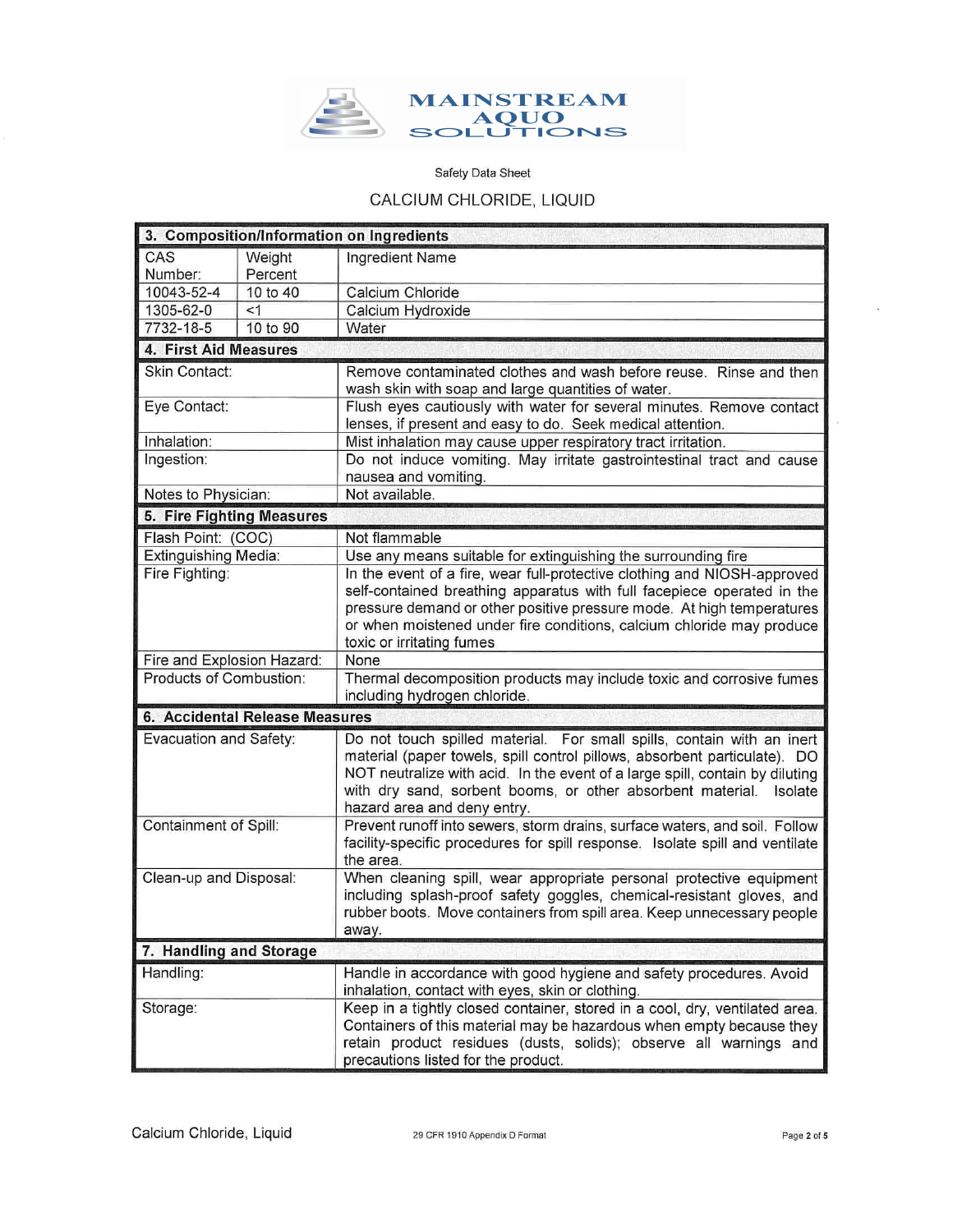

# CALCIUM CHLORIDE, LIQUID

| 3. Composition/Information on Ingredients |                                                                                                                                                                                                                                                                 |                                                                                                                                                                                                                                                                                                                                             |  |  |  |  |  |
|-------------------------------------------|-----------------------------------------------------------------------------------------------------------------------------------------------------------------------------------------------------------------------------------------------------------------|---------------------------------------------------------------------------------------------------------------------------------------------------------------------------------------------------------------------------------------------------------------------------------------------------------------------------------------------|--|--|--|--|--|
| CAS                                       | Weight                                                                                                                                                                                                                                                          | Ingredient Name                                                                                                                                                                                                                                                                                                                             |  |  |  |  |  |
| Number:                                   | Percent                                                                                                                                                                                                                                                         |                                                                                                                                                                                                                                                                                                                                             |  |  |  |  |  |
| 10043-52-4                                | 10 to 40                                                                                                                                                                                                                                                        | Calcium Chloride                                                                                                                                                                                                                                                                                                                            |  |  |  |  |  |
| 1305-62-0                                 | <1                                                                                                                                                                                                                                                              | Calcium Hydroxide                                                                                                                                                                                                                                                                                                                           |  |  |  |  |  |
| 7732-18-5                                 | 10 to 90                                                                                                                                                                                                                                                        | Water                                                                                                                                                                                                                                                                                                                                       |  |  |  |  |  |
|                                           | 4. First Aid Measures                                                                                                                                                                                                                                           |                                                                                                                                                                                                                                                                                                                                             |  |  |  |  |  |
| Skin Contact:                             |                                                                                                                                                                                                                                                                 | Remove contaminated clothes and wash before reuse. Rinse and then<br>wash skin with soap and large quantities of water.                                                                                                                                                                                                                     |  |  |  |  |  |
| Eye Contact:                              |                                                                                                                                                                                                                                                                 | Flush eyes cautiously with water for several minutes. Remove contact<br>lenses, if present and easy to do. Seek medical attention.                                                                                                                                                                                                          |  |  |  |  |  |
| Inhalation:                               |                                                                                                                                                                                                                                                                 | Mist inhalation may cause upper respiratory tract irritation.                                                                                                                                                                                                                                                                               |  |  |  |  |  |
| Ingestion:                                |                                                                                                                                                                                                                                                                 | Do not induce vomiting. May irritate gastrointestinal tract and cause<br>nausea and vomiting.                                                                                                                                                                                                                                               |  |  |  |  |  |
| Notes to Physician:                       |                                                                                                                                                                                                                                                                 | Not available.                                                                                                                                                                                                                                                                                                                              |  |  |  |  |  |
| 5. Fire Fighting Measures                 |                                                                                                                                                                                                                                                                 |                                                                                                                                                                                                                                                                                                                                             |  |  |  |  |  |
| Flash Point: (COC)                        |                                                                                                                                                                                                                                                                 | Not flammable                                                                                                                                                                                                                                                                                                                               |  |  |  |  |  |
| Extinguishing Media:                      |                                                                                                                                                                                                                                                                 | Use any means suitable for extinguishing the surrounding fire                                                                                                                                                                                                                                                                               |  |  |  |  |  |
| Fire Fighting:                            |                                                                                                                                                                                                                                                                 | In the event of a fire, wear full-protective clothing and NIOSH-approved<br>self-contained breathing apparatus with full facepiece operated in the<br>pressure demand or other positive pressure mode. At high temperatures<br>or when moistened under fire conditions, calcium chloride may produce<br>toxic or irritating fumes           |  |  |  |  |  |
| Fire and Explosion Hazard:                |                                                                                                                                                                                                                                                                 | None                                                                                                                                                                                                                                                                                                                                        |  |  |  |  |  |
| Products of Combustion:                   |                                                                                                                                                                                                                                                                 | Thermal decomposition products may include toxic and corrosive fumes<br>including hydrogen chloride.                                                                                                                                                                                                                                        |  |  |  |  |  |
|                                           | 6. Accidental Release Measures                                                                                                                                                                                                                                  |                                                                                                                                                                                                                                                                                                                                             |  |  |  |  |  |
| Evacuation and Safety:                    |                                                                                                                                                                                                                                                                 | Do not touch spilled material. For small spills, contain with an inert<br>material (paper towels, spill control pillows, absorbent particulate). DO<br>NOT neutralize with acid. In the event of a large spill, contain by diluting<br>with dry sand, sorbent booms, or other absorbent material.<br>Isolate<br>hazard area and deny entry. |  |  |  |  |  |
|                                           | Containment of Spill:<br>Prevent runoff into sewers, storm drains, surface waters, and soil. Follow<br>facility-specific procedures for spill response. Isolate spill and ventilate<br>the area.                                                                |                                                                                                                                                                                                                                                                                                                                             |  |  |  |  |  |
|                                           | Clean-up and Disposal:<br>When cleaning spill, wear appropriate personal protective equipment<br>including splash-proof safety goggles, chemical-resistant gloves, and<br>rubber boots. Move containers from spill area. Keep unnecessary people<br>away.       |                                                                                                                                                                                                                                                                                                                                             |  |  |  |  |  |
| 7. Handling and Storage                   |                                                                                                                                                                                                                                                                 |                                                                                                                                                                                                                                                                                                                                             |  |  |  |  |  |
| Handling:                                 |                                                                                                                                                                                                                                                                 | Handle in accordance with good hygiene and safety procedures. Avoid<br>inhalation, contact with eyes, skin or clothing.                                                                                                                                                                                                                     |  |  |  |  |  |
| Storage:                                  | Keep in a tightly closed container, stored in a cool, dry, ventilated area.<br>Containers of this material may be hazardous when empty because they<br>retain product residues (dusts, solids); observe all warnings and<br>precautions listed for the product. |                                                                                                                                                                                                                                                                                                                                             |  |  |  |  |  |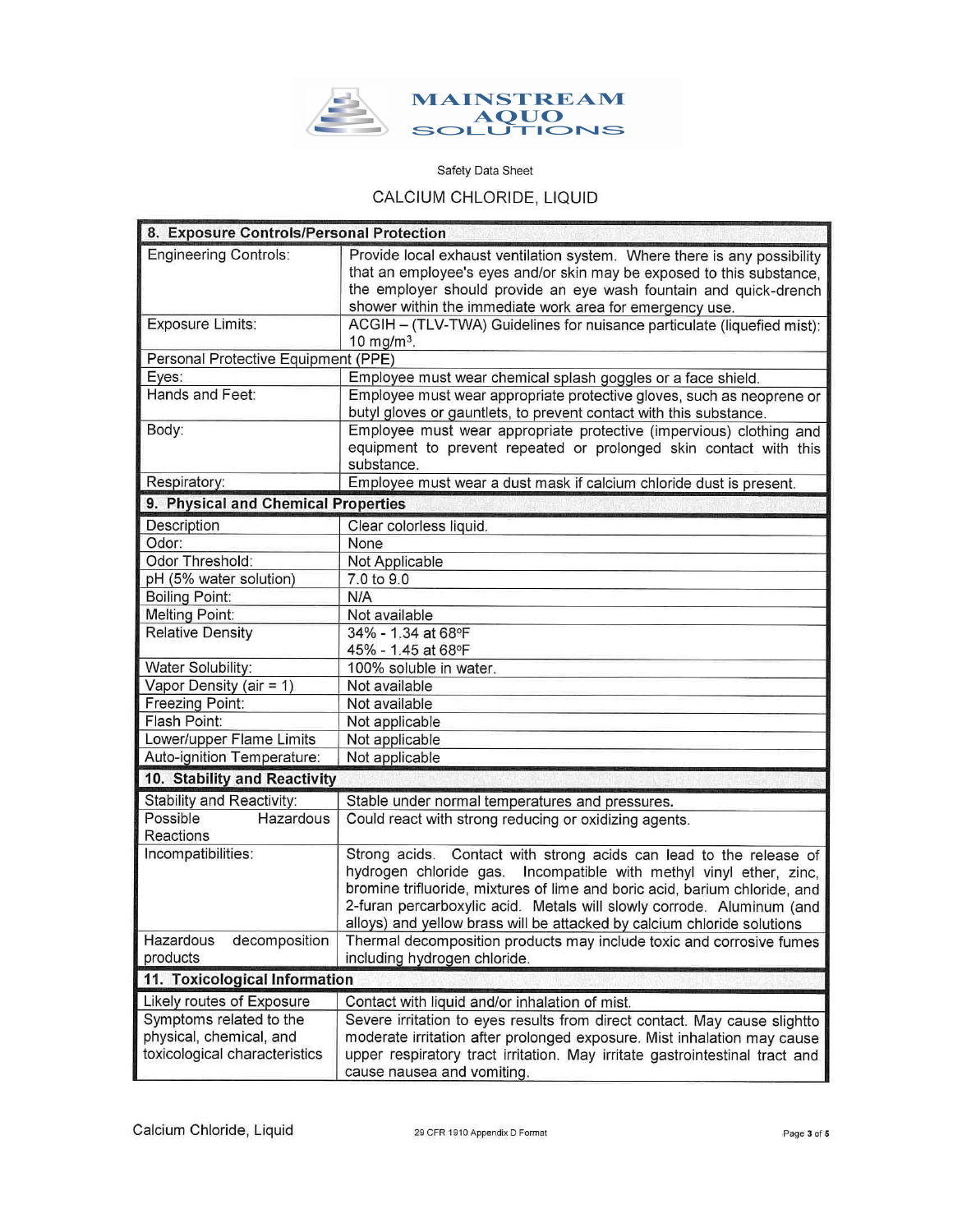

# CALCIUM CHLORIDE, LIQUID

| 8. Exposure Controls/Personal Protection |                                                                                                                                            |  |  |  |  |  |
|------------------------------------------|--------------------------------------------------------------------------------------------------------------------------------------------|--|--|--|--|--|
| <b>Engineering Controls:</b>             | Provide local exhaust ventilation system. Where there is any possibility                                                                   |  |  |  |  |  |
|                                          | that an employee's eyes and/or skin may be exposed to this substance,<br>the employer should provide an eye wash fountain and quick-drench |  |  |  |  |  |
|                                          | shower within the immediate work area for emergency use.                                                                                   |  |  |  |  |  |
| <b>Exposure Limits:</b>                  | ACGIH - (TLV-TWA) Guidelines for nuisance particulate (liquefied mist):                                                                    |  |  |  |  |  |
|                                          | 10 mg/m <sup>3</sup> .                                                                                                                     |  |  |  |  |  |
| Personal Protective Equipment (PPE)      |                                                                                                                                            |  |  |  |  |  |
| Eyes:                                    | Employee must wear chemical splash goggles or a face shield.                                                                               |  |  |  |  |  |
| Hands and Feet:                          | Employee must wear appropriate protective gloves, such as neoprene or                                                                      |  |  |  |  |  |
|                                          | butyl gloves or gauntlets, to prevent contact with this substance.                                                                         |  |  |  |  |  |
| Body:                                    | Employee must wear appropriate protective (impervious) clothing and                                                                        |  |  |  |  |  |
|                                          | equipment to prevent repeated or prolonged skin contact with this<br>substance.                                                            |  |  |  |  |  |
| Respiratory:                             | Employee must wear a dust mask if calcium chloride dust is present.                                                                        |  |  |  |  |  |
| 9. Physical and Chemical Properties      |                                                                                                                                            |  |  |  |  |  |
| Description                              | Clear colorless liquid.                                                                                                                    |  |  |  |  |  |
| Odor:                                    | None                                                                                                                                       |  |  |  |  |  |
| Odor Threshold:                          | Not Applicable                                                                                                                             |  |  |  |  |  |
| pH (5% water solution)                   | 7.0 to 9.0                                                                                                                                 |  |  |  |  |  |
| <b>Boiling Point:</b>                    | N/A                                                                                                                                        |  |  |  |  |  |
| <b>Melting Point:</b>                    | Not available                                                                                                                              |  |  |  |  |  |
| <b>Relative Density</b>                  | 34% - 1.34 at 68°F                                                                                                                         |  |  |  |  |  |
|                                          | 45% - 1.45 at 68°F                                                                                                                         |  |  |  |  |  |
| Water Solubility:                        | 100% soluble in water.                                                                                                                     |  |  |  |  |  |
| Vapor Density (air = 1)                  | Not available                                                                                                                              |  |  |  |  |  |
| Freezing Point:                          | Not available                                                                                                                              |  |  |  |  |  |
| Flash Point:                             | Not applicable                                                                                                                             |  |  |  |  |  |
| Lower/upper Flame Limits                 | Not applicable                                                                                                                             |  |  |  |  |  |
| Auto-ignition Temperature:               | Not applicable                                                                                                                             |  |  |  |  |  |
| 10. Stability and Reactivity             |                                                                                                                                            |  |  |  |  |  |
| Stability and Reactivity:                | Stable under normal temperatures and pressures.                                                                                            |  |  |  |  |  |
| Possible<br>Hazardous<br>Reactions       | Could react with strong reducing or oxidizing agents.                                                                                      |  |  |  |  |  |
| Incompatibilities:                       | Strong acids. Contact with strong acids can lead to the release of                                                                         |  |  |  |  |  |
|                                          | hydrogen chloride gas. Incompatible with methyl vinyl ether, zinc,                                                                         |  |  |  |  |  |
|                                          | bromine trifluoride, mixtures of lime and boric acid, barium chloride, and                                                                 |  |  |  |  |  |
|                                          | 2-furan percarboxylic acid. Metals will slowly corrode. Aluminum (and                                                                      |  |  |  |  |  |
|                                          | alloys) and yellow brass will be attacked by calcium chloride solutions                                                                    |  |  |  |  |  |
| Hazardous<br>decomposition               | Thermal decomposition products may include toxic and corrosive fumes                                                                       |  |  |  |  |  |
| products                                 | including hydrogen chloride.                                                                                                               |  |  |  |  |  |
|                                          | 11. Toxicological Information                                                                                                              |  |  |  |  |  |
| Likely routes of Exposure                | Contact with liquid and/or inhalation of mist.                                                                                             |  |  |  |  |  |
| Symptoms related to the                  | Severe irritation to eyes results from direct contact. May cause slightto                                                                  |  |  |  |  |  |
| physical, chemical, and                  | moderate irritation after prolonged exposure. Mist inhalation may cause                                                                    |  |  |  |  |  |
| toxicological characteristics            | upper respiratory tract irritation. May irritate gastrointestinal tract and                                                                |  |  |  |  |  |
|                                          | cause nausea and vomiting.                                                                                                                 |  |  |  |  |  |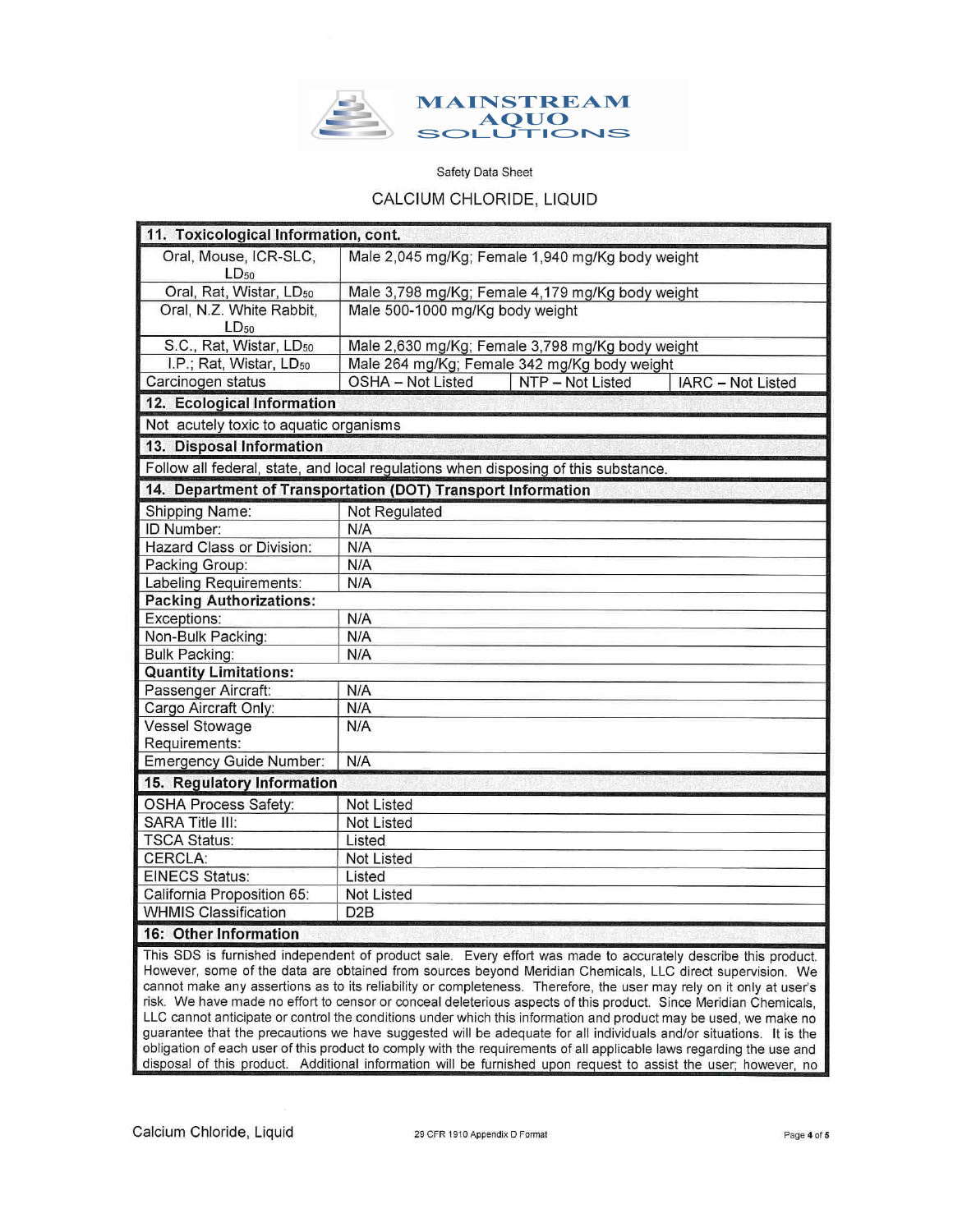

## CALCIUM CHLORIDE, LIQUID

| 11. Toxicological Information, cont.                                                                         |                                                                   |  |  |  |  |  |
|--------------------------------------------------------------------------------------------------------------|-------------------------------------------------------------------|--|--|--|--|--|
| Oral, Mouse, ICR-SLC,                                                                                        | Male 2,045 mg/Kg; Female 1,940 mg/Kg body weight                  |  |  |  |  |  |
| $LD_{50}$                                                                                                    |                                                                   |  |  |  |  |  |
| Oral, Rat, Wistar, LD <sub>50</sub>                                                                          | Male 3,798 mg/Kg; Female 4,179 mg/Kg body weight                  |  |  |  |  |  |
| Oral, N.Z. White Rabbit,                                                                                     | Male 500-1000 mg/Kg body weight                                   |  |  |  |  |  |
| $LD_{50}$                                                                                                    |                                                                   |  |  |  |  |  |
| S.C., Rat, Wistar, LD <sub>50</sub>                                                                          | Male 2,630 mg/Kg; Female 3,798 mg/Kg body weight                  |  |  |  |  |  |
| I.P.; Rat, Wistar, LD <sub>50</sub>                                                                          | Male 264 mg/Kg; Female 342 mg/Kg body weight                      |  |  |  |  |  |
| Carcinogen status                                                                                            | <b>OSHA - Not Listed</b><br>NTP - Not Listed<br>IARC - Not Listed |  |  |  |  |  |
| 12. Ecological Information                                                                                   |                                                                   |  |  |  |  |  |
| Not acutely toxic to aquatic organisms                                                                       |                                                                   |  |  |  |  |  |
| 13. Disposal Information                                                                                     |                                                                   |  |  |  |  |  |
| Follow all federal, state, and local regulations when disposing of this substance.                           |                                                                   |  |  |  |  |  |
| 14. Department of Transportation (DOT) Transport Information                                                 |                                                                   |  |  |  |  |  |
| Shipping Name:                                                                                               | Not Regulated                                                     |  |  |  |  |  |
| ID Number:                                                                                                   | N/A                                                               |  |  |  |  |  |
| Hazard Class or Division:                                                                                    | N/A                                                               |  |  |  |  |  |
| Packing Group:                                                                                               | N/A                                                               |  |  |  |  |  |
| Labeling Requirements:                                                                                       | N/A                                                               |  |  |  |  |  |
| <b>Packing Authorizations:</b>                                                                               |                                                                   |  |  |  |  |  |
| Exceptions:                                                                                                  | N/A                                                               |  |  |  |  |  |
| Non-Bulk Packing:                                                                                            | N/A                                                               |  |  |  |  |  |
| <b>Bulk Packing:</b>                                                                                         | N/A                                                               |  |  |  |  |  |
| <b>Quantity Limitations:</b>                                                                                 |                                                                   |  |  |  |  |  |
| Passenger Aircraft:                                                                                          | N/A                                                               |  |  |  |  |  |
| Cargo Aircraft Only:                                                                                         | N/A                                                               |  |  |  |  |  |
| <b>Vessel Stowage</b>                                                                                        | N/A                                                               |  |  |  |  |  |
| Requirements:                                                                                                |                                                                   |  |  |  |  |  |
| Emergency Guide Number:                                                                                      | N/A                                                               |  |  |  |  |  |
| 15. Regulatory Information                                                                                   |                                                                   |  |  |  |  |  |
| <b>OSHA Process Safety:</b>                                                                                  | <b>Not Listed</b>                                                 |  |  |  |  |  |
| <b>SARA Title III:</b>                                                                                       | Not Listed                                                        |  |  |  |  |  |
| <b>TSCA Status:</b>                                                                                          | Listed                                                            |  |  |  |  |  |
| CERCLA:                                                                                                      | Not Listed                                                        |  |  |  |  |  |
| <b>EINECS Status:</b>                                                                                        | Listed                                                            |  |  |  |  |  |
| California Proposition 65:                                                                                   | <b>Not Listed</b>                                                 |  |  |  |  |  |
| <b>WHMIS Classification</b>                                                                                  | D <sub>2</sub> B                                                  |  |  |  |  |  |
| 16: Other Information                                                                                        |                                                                   |  |  |  |  |  |
| This SDS is furnished independent of product sale. Every effort was made to accurately describe this product |                                                                   |  |  |  |  |  |

indent of product sale. Every effort was made to accurately describe this product. However, some of the data are obtained from sources beyond Meridian Chemicals, LLC direct supervision. We cannot make any assertions as to its reliability or completeness. Therefore, the user may rely on it only at user's risk. We have made no effort to censor or conceal deleterious aspects of this product. Since Meridian Chemicals, LLC cannot anticipate or control the conditions under which this information and product may be used, we make no guarantee that the precautions we have suggested will be adequate for all individuals and/or situations. It is the obligation of each user of this product to comply with the requirements of all applicable laws regarding the use and disposal of this product. Additional information will be furnished upon request to assist the user; however, no